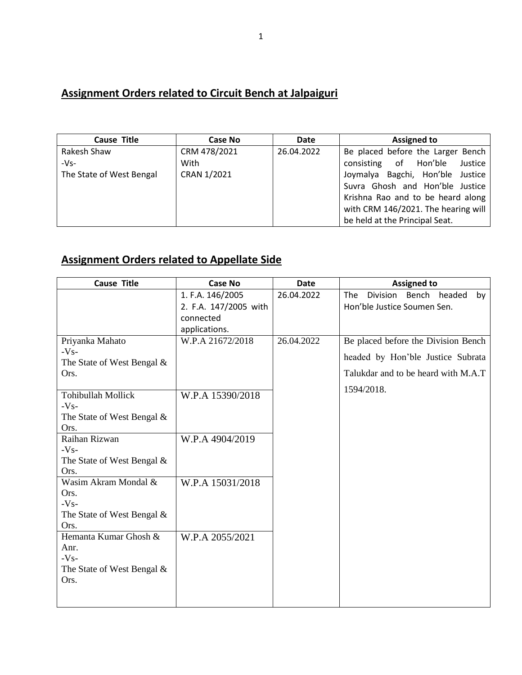## **Assignment Orders related to Circuit Bench at Jalpaiguri**

| <b>Cause Title</b>       | Case No      | <b>Date</b> | <b>Assigned to</b>                  |
|--------------------------|--------------|-------------|-------------------------------------|
| Rakesh Shaw              | CRM 478/2021 | 26.04.2022  | Be placed before the Larger Bench   |
| $-Vs-$                   | With         |             | consisting of Hon'ble<br>Justice    |
| The State of West Bengal | CRAN 1/2021  |             | Joymalya Bagchi, Hon'ble Justice    |
|                          |              |             | Suvra Ghosh and Hon'ble Justice     |
|                          |              |             | Krishna Rao and to be heard along   |
|                          |              |             | with CRM 146/2021. The hearing will |
|                          |              |             | be held at the Principal Seat.      |

## **Assignment Orders related to Appellate Side**

| <b>Cause Title</b>            | <b>Case No</b>        | <b>Date</b> | <b>Assigned to</b>                           |
|-------------------------------|-----------------------|-------------|----------------------------------------------|
|                               | 1. F.A. 146/2005      | 26.04.2022  | Bench headed<br>Division<br><b>The</b><br>bv |
|                               | 2. F.A. 147/2005 with |             | Hon'ble Justice Soumen Sen.                  |
|                               | connected             |             |                                              |
|                               | applications.         |             |                                              |
| Priyanka Mahato               | W.P.A 21672/2018      | 26.04.2022  | Be placed before the Division Bench          |
| $-Vs-$                        |                       |             | headed by Hon'ble Justice Subrata            |
| The State of West Bengal &    |                       |             |                                              |
| Ors.                          |                       |             | Talukdar and to be heard with M.A.T          |
|                               |                       |             | 1594/2018.                                   |
| Tohibullah Mollick            | W.P.A 15390/2018      |             |                                              |
| $-Vs-$                        |                       |             |                                              |
| The State of West Bengal &    |                       |             |                                              |
| Ors.                          |                       |             |                                              |
| Raihan Rizwan<br>$-Vs-$       | W.P.A 4904/2019       |             |                                              |
| The State of West Bengal $\&$ |                       |             |                                              |
| Ors.                          |                       |             |                                              |
| Wasim Akram Mondal &          | W.P.A 15031/2018      |             |                                              |
| Ors.                          |                       |             |                                              |
| $-Vs-$                        |                       |             |                                              |
| The State of West Bengal &    |                       |             |                                              |
| Ors.                          |                       |             |                                              |
| Hemanta Kumar Ghosh &         | W.P.A 2055/2021       |             |                                              |
| Anr.                          |                       |             |                                              |
| $-Vs-$                        |                       |             |                                              |
| The State of West Bengal &    |                       |             |                                              |
| Ors.                          |                       |             |                                              |
|                               |                       |             |                                              |
|                               |                       |             |                                              |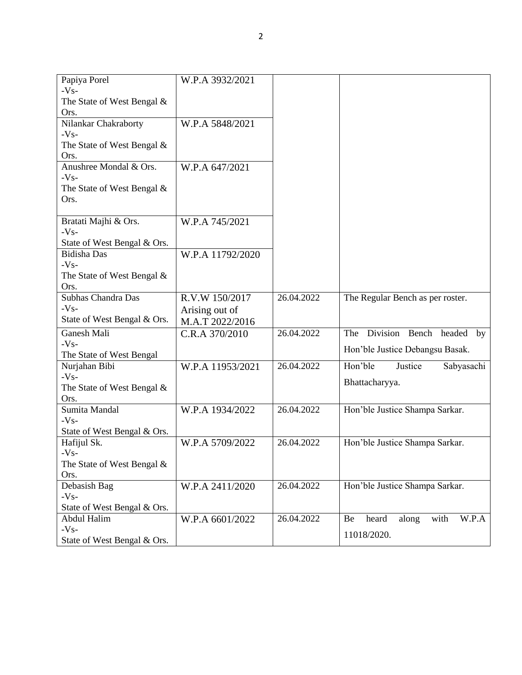| Papiya Porel                              | W.P.A 3932/2021  |            |                                       |
|-------------------------------------------|------------------|------------|---------------------------------------|
| $-Vs-$                                    |                  |            |                                       |
| The State of West Bengal $\&$<br>Ors.     |                  |            |                                       |
| Nilankar Chakraborty                      | W.P.A 5848/2021  |            |                                       |
| $-Vs-$                                    |                  |            |                                       |
| The State of West Bengal &                |                  |            |                                       |
| Ors.                                      |                  |            |                                       |
| Anushree Mondal & Ors.                    | W.P.A 647/2021   |            |                                       |
| $-Vs-$                                    |                  |            |                                       |
| The State of West Bengal $\&$             |                  |            |                                       |
| Ors.                                      |                  |            |                                       |
|                                           |                  |            |                                       |
| Bratati Majhi & Ors.                      | W.P.A 745/2021   |            |                                       |
| $-Vs-$                                    |                  |            |                                       |
| State of West Bengal & Ors.               |                  |            |                                       |
| <b>Bidisha Das</b>                        | W.P.A 11792/2020 |            |                                       |
| $-Vs-$                                    |                  |            |                                       |
| The State of West Bengal $\&$             |                  |            |                                       |
| Ors.                                      |                  |            |                                       |
| Subhas Chandra Das<br>$-Vs-$              | R.V.W 150/2017   | 26.04.2022 | The Regular Bench as per roster.      |
| State of West Bengal & Ors.               | Arising out of   |            |                                       |
|                                           | M.A.T 2022/2016  |            |                                       |
| Ganesh Mali                               | C.R.A 370/2010   | 26.04.2022 | The Division Bench headed by          |
| $-Vs-$                                    |                  |            | Hon'ble Justice Debangsu Basak.       |
| The State of West Bengal<br>Nurjahan Bibi |                  | 26.04.2022 | Hon'ble<br>Sabyasachi<br>Justice      |
| $-Vs-$                                    | W.P.A 11953/2021 |            |                                       |
| The State of West Bengal &                |                  |            | Bhattacharyya.                        |
| Ors.                                      |                  |            |                                       |
| Sumita Mandal                             | W.P.A 1934/2022  | 26.04.2022 | Hon'ble Justice Shampa Sarkar.        |
| $-Vs-$                                    |                  |            |                                       |
| State of West Bengal & Ors.               |                  |            |                                       |
| Hafijul Sk.                               | W.P.A 5709/2022  | 26.04.2022 | Hon'ble Justice Shampa Sarkar.        |
| $-Vs-$                                    |                  |            |                                       |
| The State of West Bengal $\&$             |                  |            |                                       |
| Ors.                                      |                  |            |                                       |
| Debasish Bag                              | W.P.A 2411/2020  | 26.04.2022 | Hon'ble Justice Shampa Sarkar.        |
| $-Vs-$                                    |                  |            |                                       |
| State of West Bengal & Ors.               |                  |            |                                       |
| Abdul Halim                               | W.P.A 6601/2022  | 26.04.2022 | W.P.A<br>heard<br>along<br>with<br>Be |
| $-Vs-$                                    |                  |            | 11018/2020.                           |
| State of West Bengal & Ors.               |                  |            |                                       |